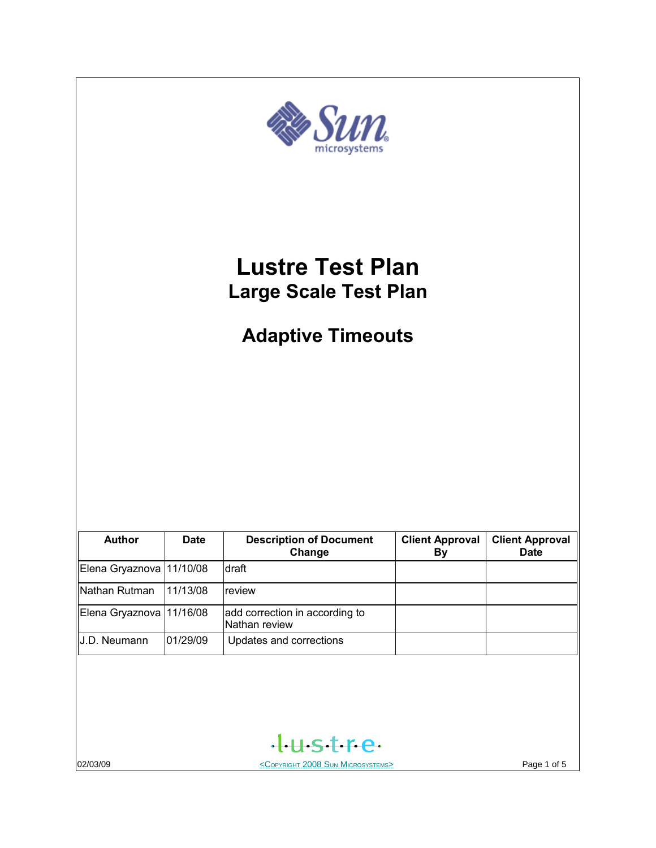

02/03/09 COPYRIGHT 2008 SUN MICROSYSTEMS> Page 1 of 5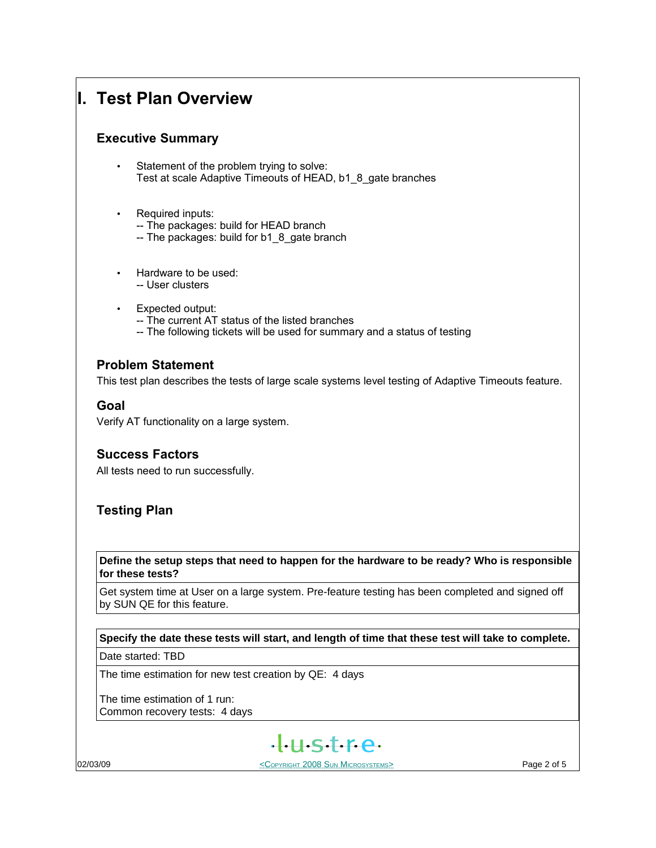# **I. Test Plan Overview**

# **Executive Summary**

- Statement of the problem trying to solve: Test at scale Adaptive Timeouts of HEAD, b1\_8\_gate branches
- Required inputs:
	- -- The packages: build for HEAD branch
	- -- The packages: build for b1 8 gate branch
- Hardware to be used: -- User clusters
- Expected output:
	- -- The current AT status of the listed branches
	- -- The following tickets will be used for summary and a status of testing

# **Problem Statement**

This test plan describes the tests of large scale systems level testing of Adaptive Timeouts feature.

## **Goal**

Verify AT functionality on a large system.

# **Success Factors**

All tests need to run successfully.

# **Testing Plan**

**Define the setup steps that need to happen for the hardware to be ready? Who is responsible for these tests?**

Get system time at User on a large system. Pre-feature testing has been completed and signed off by SUN QE for this feature.

### **Specify the date these tests will start, and length of time that these test will take to complete.**

Date started: TBD

The time estimation for new test creation by QE: 4 days

The time estimation of 1 run: Common recovery tests: 4 days



O2/03/09 **Page 2 of 5** COPYRIGHT 2008 SUN MICROSYSTEMS>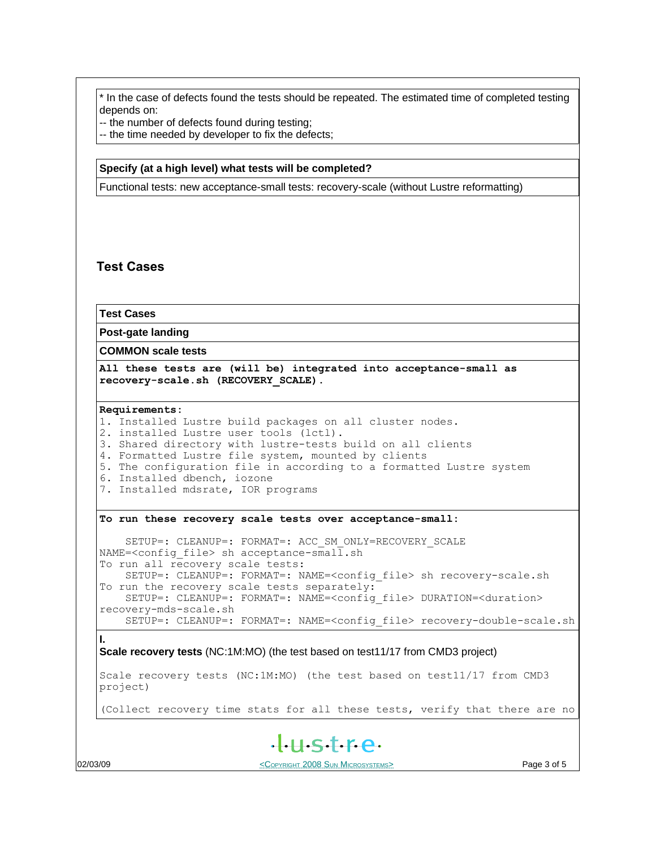\* In the case of defects found the tests should be repeated. The estimated time of completed testing depends on:

-- the number of defects found during testing;

-- the time needed by developer to fix the defects;

#### **Specify (at a high level) what tests will be completed?**

Functional tests: new acceptance-small tests: recovery-scale (without Lustre reformatting)

### **Test Cases**

**Test Cases**

**Post-gate landing**

**COMMON scale tests**

**All these tests are (will be) integrated into acceptance-small as recovery-scale.sh (RECOVERY\_SCALE).**

#### **Requirements:**

1. Installed Lustre build packages on all cluster nodes. 2. installed Lustre user tools (lctl). 3. Shared directory with lustre-tests build on all clients 4. Formatted Lustre file system, mounted by clients

5. The configuration file in according to a formatted Lustre system

- 6. Installed dbench, iozone
- 7. Installed mdsrate, IOR programs

#### **To run these recovery scale tests over acceptance-small:**

SETUP=: CLEANUP=: FORMAT=: ACC SM\_ONLY=RECOVERY\_SCALE NAME=<config file> sh acceptance-small.sh To run all recovery scale tests: SETUP=: CLEANUP=: FORMAT=: NAME=<config\_file> sh recovery-scale.sh To run the recovery scale tests separately: SETUP=: CLEANUP=: FORMAT=: NAME=<config\_file> DURATION=<duration> recovery-mds-scale.sh SETUP=: CLEANUP=: FORMAT=: NAME=<config\_file> recovery-double-scale.sh

**Scale recovery tests** (NC:1M:MO) (the test based on test11/17 from CMD3 project)

Scale recovery tests (NC:1M:MO) (the test based on test11/17 from CMD3 project)

(Collect recovery time stats for all these tests, verify that there are no



**I.**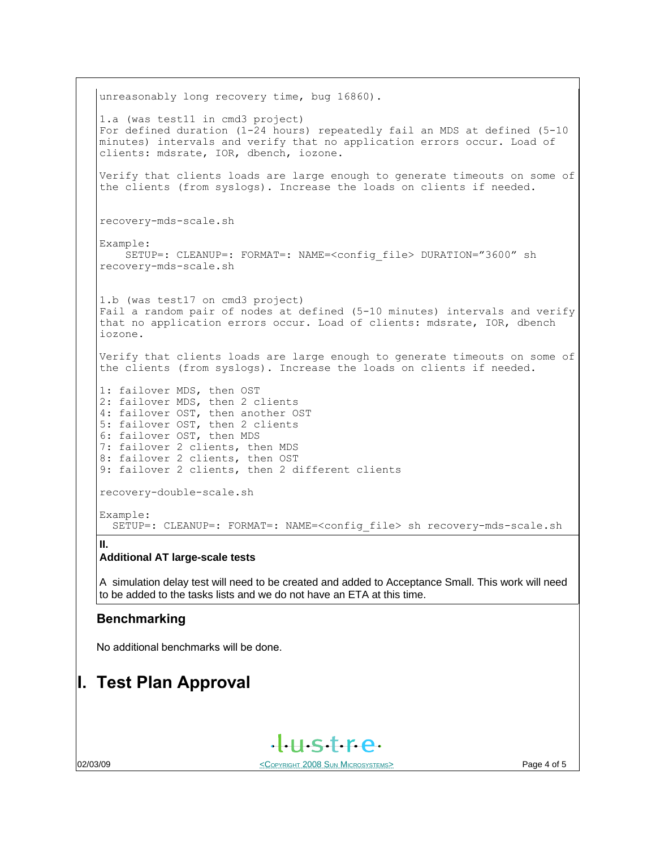unreasonably long recovery time, bug 16860). 1.a (was test11 in cmd3 project) For defined duration (1-24 hours) repeatedly fail an MDS at defined (5-10 minutes) intervals and verify that no application errors occur. Load of clients: mdsrate, IOR, dbench, iozone. Verify that clients loads are large enough to generate timeouts on some of the clients (from syslogs). Increase the loads on clients if needed. recovery-mds-scale.sh Example: SETUP=: CLEANUP=: FORMAT=: NAME=<config\_file> DURATION="3600" sh recovery-mds-scale.sh 1.b (was test17 on cmd3 project) Fail a random pair of nodes at defined (5-10 minutes) intervals and verify that no application errors occur. Load of clients: mdsrate, IOR, dbench iozone. Verify that clients loads are large enough to generate timeouts on some of the clients (from syslogs). Increase the loads on clients if needed. 1: failover MDS, then OST 2: failover MDS, then 2 clients 4: failover OST, then another OST 5: failover OST, then 2 clients 6: failover OST, then MDS 7: failover 2 clients, then MDS 8: failover 2 clients, then OST 9: failover 2 clients, then 2 different clients recovery-double-scale.sh Example: SETUP=: CLEANUP=: FORMAT=: NAME=<config\_file> sh recovery-mds-scale.sh **II.**

### **Additional AT large-scale tests**

A simulation delay test will need to be created and added to Acceptance Small. This work will need to be added to the tasks lists and we do not have an ETA at this time.

### **Benchmarking**

No additional benchmarks will be done.

# **I. Test Plan Approval**